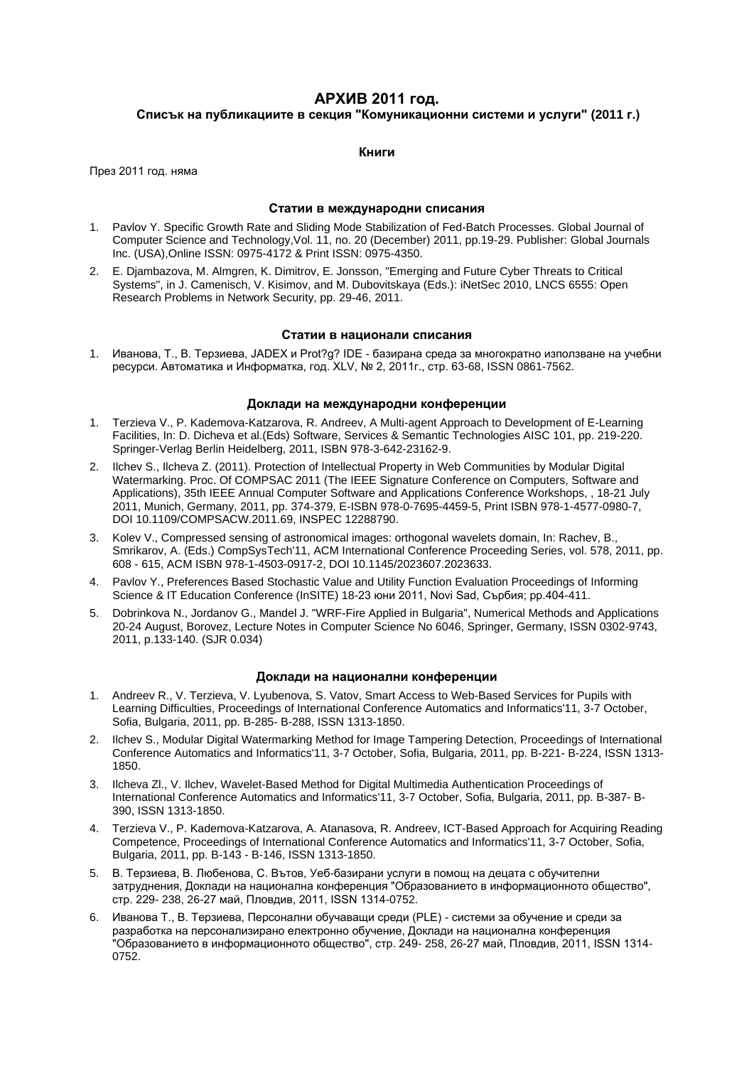# **АРХИВ 2011 год.**

# **Списък на публикациите в секция "Комуникационни системи и услуги" (2011 г.)**

### **Книги**

През 2011 год. няма

#### **Статии в международни списания**

- 1. Pavlov Y. Specific Growth Rate and Sliding Mode Stabilization of Fed-Batch Processes. Global Journal of Computer Science and Technology,Vol. 11, no. 20 (December) 2011, pp.19-29. Publisher: Global Journals Inc. (USA),Online ISSN: 0975-4172 & Print ISSN: 0975-4350.
- 2. E. Djambazova, M. Almgren, K. Dimitrov, E. Jonsson, "Emerging and Future Cyber Threats to Critical Systems", in J. Camenisch, V. Kisimov, and M. Dubovitskaya (Eds.): iNetSec 2010, LNCS 6555: Open Research Problems in Network Security, pp. 29-46, 2011.

#### **Статии в национали списания**

1. Иванова, Т., В. Терзиева, JADEX и Prot?g? IDE - базирана среда за многократно използване на учебни ресурси. Автоматика и Информатка, год. XLV, № 2, 2011г., стр. 63-68, ISSN 0861-7562.

#### **Доклади на международни конференции**

- 1. Terzieva V., P. Kademova-Katzarova, R. Andreev, A Multi-agent Approach to Development of E-Learning Facilities, In: D. Dicheva et al.(Eds) Software, Services & Semantic Technologies AISC 101, pp. 219-220. Springer-Verlag Berlin Heidelberg, 2011, ISBN 978-3-642-23162-9.
- 2. Ilchev S., Ilcheva Z. (2011). Protection of Intellectual Property in Web Communities by Modular Digital Watermarking. Proc. Of COMPSAC 2011 (The IEEE Signature Conference on Computers, Software and Applications), 35th IEEE Annual Computer Software and Applications Conference Workshops, , 18-21 July 2011, Munich, Germany, 2011, pp. 374-379, E-ISBN 978-0-7695-4459-5, Print ISBN 978-1-4577-0980-7, DOI 10.1109/COMPSACW.2011.69, INSPEC 12288790.
- 3. Kolev V., Compressed sensing of astronomical images: orthogonal wavelets domain, In: Rachev, B., Smrikarov, A. (Eds.) CompSysTech'11, ACM International Conference Proceeding Series, vol. 578, 2011, pp. 608 - 615, ACM ISBN 978-1-4503-0917-2, DOI 10.1145/2023607.2023633.
- 4. Pavlov Y., Preferences Based Stochastic Value and Utility Function Evaluation Proceedings of Informing Science & IT Education Conference (InSITE) 18-23 юни 2011, Novi Sad, Сърбия; pp.404-411.
- 5. Dobrinkova N., Jordanov G., Mandel J. "WRF-Fire Applied in Bulgaria", Numerical Methods and Applications 20-24 August, Borovez, Lecture Notes in Computer Science No 6046, Springer, Germany, ISSN 0302-9743, 2011, p.133-140. (SJR 0.034)

#### **Доклади на национални конференции**

- 1. Andreev R., V. Terzieva, V. Lyubenova, S. Vatov, Smart Access to Web-Based Services for Pupils with Learning Difficulties, Proceedings of International Conference Automatics and Informatics'11, 3-7 October, Sofia, Bulgaria, 2011, pp. B-285- B-288, ISSN 1313-1850.
- 2. Ilchev S., Modular Digital Watermarking Method for Image Tampering Detection, Proceedings of International Conference Automatics and Informatics'11, 3-7 October, Sofia, Bulgaria, 2011, pp. B-221- B-224, ISSN 1313- 1850.
- 3. Ilcheva Zl., V. Ilchev, Wavelet-Based Method for Digital Multimedia Authentication Proceedings of International Conference Automatics and Informatics'11, 3-7 October, Sofia, Bulgaria, 2011, pp. B-387- B-390, ISSN 1313-1850.
- 4. Terzieva V., P. Kademova-Katzarova, A. Atanasova, R. Andreev, ICT-Based Approach for Acquiring Reading Competence, Proceedings of International Conference Automatics and Informatics'11, 3-7 October, Sofia, Bulgaria, 2011, pp. B-143 - B-146, ISSN 1313-1850.
- 5. В. Терзиева, В. Любенова, С. Вътов, Уеб-базирани услуги в помощ на децата с обучителни затруднения, Доклади на национална конференция "Образованието в информационното общество", стр. 229- 238, 26-27 май, Пловдив, 2011, ISSN 1314-0752.
- 6. Иванова Т., В. Терзиева, Персонални обучаващи среди (PLE) системи за обучение и среди за разработка на персонализирано електронно обучение, Доклади на национална конференция "Образованието в информационното общество", стр. 249- 258, 26-27 май, Пловдив, 2011, ISSN 1314- 0752.